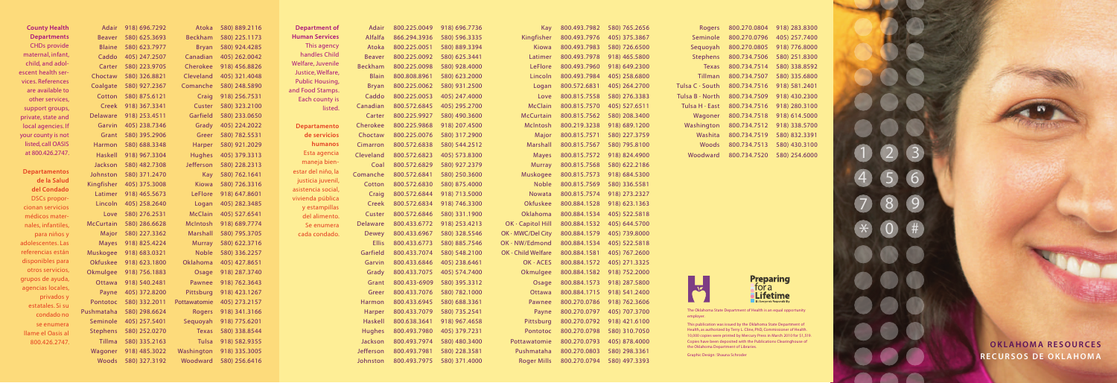| <b>County Health</b>                 | 918) 696.7292<br>Adair   | Atoka 580) 889.2116        | Department of               | Adair            |              | 800.225.0049 918) 696.7736          |                            | Kay 800.493.7982 580) 765.2656         |                             | Rogers                                | 800.270.0804 918) 283.8300                                                                                                                  |                            |                 |                             |  |
|--------------------------------------|--------------------------|----------------------------|-----------------------------|------------------|--------------|-------------------------------------|----------------------------|----------------------------------------|-----------------------------|---------------------------------------|---------------------------------------------------------------------------------------------------------------------------------------------|----------------------------|-----------------|-----------------------------|--|
| <b>Departments</b>                   | 580) 625.3693<br>Beaver  | Beckham 580) 225.1173      | <b>Human Services</b>       | Alfalfa          | 866.294.3936 | 580) 596.3335                       | Kingfisher                 | 800.493.7976                           | 405) 375.3867               | Seminole                              | 800.270.0796                                                                                                                                | 405) 257.7400              |                 |                             |  |
| <b>CHDs provide</b>                  | Blaine 580) 623.7977     | Bryan 580) 924.4285        | This agency                 | Atoka            |              | 800.225.0051 580) 889.3394          | Kiowa                      |                                        | 800.493.7983 580) 726.6500  | Seguoyah                              | 800.270.0805 918) 776.8000                                                                                                                  |                            |                 |                             |  |
| maternal, infant,                    | Caddo 405) 247.2507      | Canadian 405) 262.0042     | handles Child               | Beaver           |              | 800.225.0092 580) 625.3441          | Latimer                    |                                        | 800.493.7978 918) 465.5800  |                                       | Stephens 800.734.7506 580) 251.8300                                                                                                         |                            |                 |                             |  |
| child, and adol-                     | Carter 580) 223.9705     | Cherokee 918) 456.8826     | Welfare, Juvenile           |                  |              | Beckham 800.225.0098 580) 928.4000  | LeFlore                    |                                        | 800.493.7960 918) 649.2300  |                                       | Texas 800.734.7514 580) 338.8592                                                                                                            |                            |                 |                             |  |
| escent health ser-                   | Choctaw 580) 326.8821    | Cleveland 405) 321.4048    | Justice, Welfare,           | Blain            | 800.808.8961 | 580) 623.2000                       | Lincoln                    | 800.493.7984                           | 405) 258.6800               | Tillman                               | 800.734.7507 580) 335.6800                                                                                                                  |                            |                 |                             |  |
| vices. References                    | Coalgate 580) 927.2367   | Comanche 580) 248.5890     | <b>Public Housing,</b>      | Bryan            |              | 800.225.0062 580) 931.2500          | Logan                      | 800.572.6831                           | 405) 264.2700               | Tulsa $C \cdot$ South                 | 800.734.7516 918) 581.2401                                                                                                                  |                            |                 |                             |  |
| are available to                     | Cotton 580) 875.6121     | Craig 918) 256.7531        | and Food Stamps.            | Caddo            |              | 800.225.0053 405) 247.4000          | Love                       | 800.815.7558                           | 580) 276.3383               | Tulsa B $\cdot$ North                 | 800.734.7509 918) 430.2300                                                                                                                  |                            |                 |                             |  |
| other services,<br>support groups,   | Creek 918) 367.3341      | Custer 580) 323.2100       | Each county is<br>listed.   | Canadian         |              | 800.572.6845 405) 295.2700          | <b>McClain</b>             |                                        | 800.815.7570  405) 527.6511 | Tulsa H · East                        | 800.734.7516 918) 280.3100                                                                                                                  |                            |                 |                             |  |
| private, state and                   | Delaware 918) 253.4511   | Garfield 580) 233.0650     |                             | Carter           |              | 800.225.9927 580) 490.3600          | <b>McCurtain</b>           |                                        | 800.815.7562 580) 208.3400  | Wagoner                               | 800.734.7518 918) 614.5000                                                                                                                  |                            |                 |                             |  |
| local agencies. If                   | Garvin 405) 238.7346     | Grady 405) 224.2022        | <b>Departamento</b>         | Cherokee         |              | 800.225.9868 918) 207.4500          | McIntosh                   |                                        | 800.219.3238 918) 689.1200  | Washington                            | 800.734.7512 918) 338.5700                                                                                                                  |                            |                 |                             |  |
| your county is not                   | Grant 580) 395.2906      | Greer 580) 782.5531        | de servicios                | Choctaw          |              | 800.225.0076 580) 317.2900          | Major                      |                                        | 800.815.7571 580) 227.3759  | Washita                               | 800.734.7519 580) 832.3391                                                                                                                  |                            |                 |                             |  |
| listed, call OASIS                   | Harmon 580) 688.3348     | Harper 580) 921.2029       | humanos                     | Cimarron         |              | 800.572.6838 580) 544.2512          | Marshall                   | 800.815.7567                           | 580) 795.8100               | Woods                                 |                                                                                                                                             | 800.734.7513 580) 430.3100 |                 |                             |  |
| at 800.426.2747.                     | 918) 967.3304<br>Haskell | Hughes 405) 379.3313       | Esta agencia                | Cleveland        |              | 800.572.6823 405) 573.8300          | <b>Mayes</b>               |                                        | 800.815.7572 918) 824.4900  | Woodward                              | 800.734.7520 580) 254.6000                                                                                                                  |                            |                 |                             |  |
|                                      | 580) 482.7308<br>Jackson | Jefferson 580) 228.2313    | maneja bien-                | Coal             |              | 800.572.6829 580) 927.2379          | Murray                     |                                        | 800.815.7568 580) 622.2186  |                                       |                                                                                                                                             |                            |                 |                             |  |
| <b>Departamentos</b>                 | Johnston 580) 371.2470   | Kay 580) 762.1641          | estar del niño, la          |                  |              | Comanche 800.572.6841 580) 250.3600 | Muskogee                   |                                        | 800.815.7573 918) 684.5300  |                                       |                                                                                                                                             |                            |                 |                             |  |
| de la Salud                          | Kingfisher 405) 375.3008 | Kiowa 580) 726.3316        | justicia juvenil,           | Cotton           |              | 800.572.6830 580) 875.4000          | <b>Noble</b>               |                                        | 800.815.7569 580) 336.5581  |                                       |                                                                                                                                             |                            |                 |                             |  |
| del Condado                          | Latimer 918) 465.5673    | LeFlore 918) 647.8601      | asistencia social           | Craig            |              | 800.572.6844 918) 713.5000          | <b>Nowata</b>              |                                        | 800.815.7574 918) 273.2327  |                                       |                                                                                                                                             |                            |                 |                             |  |
| DSCs propor-                         | Lincoln 405) 258.2640    | Logan 405) 282.3485        | vivienda pública            |                  |              | Creek 800.572.6834 918) 746.3300    | Okfuskee                   |                                        | 800.884.1528 918) 623.1363  |                                       |                                                                                                                                             |                            | $\sqrt{9}$<br>8 |                             |  |
| cionan servicios                     | Love 580) 276.2531       | McClain 405) 527.6541      | y estampillas               | Custer           |              | 800.572.6846 580) 331.1900          | <b>Oklahoma</b>            |                                        | 800.884.1534 405) 522.5818  |                                       |                                                                                                                                             |                            |                 |                             |  |
| médicos mater-<br>nales, infantiles, | McCurtain 580) 286.6628  | McIntosh 918) 689.7774     | del alimento.<br>Se enumera | Delaware         |              | 800.433.6772 918) 253.4213          | $OK \cdot$ Capitol Hill    |                                        | 800.884.1532 405) 644.5700  |                                       |                                                                                                                                             |                            |                 |                             |  |
| para niños y                         | Major 580) 227.3362      | Marshall 580) 795.3705     | cada condado.               | Dewey            |              | 800.433.6967 580) 328.5546          | $OK \cdot MWC/Del City$    |                                        | 800.884.1579 405) 739.8000  |                                       |                                                                                                                                             |                            | #               |                             |  |
| adolescentes. Las                    | Mayes 918) 825.4224      | Murray 580) 622.3716       |                             | <b>Ellis</b>     |              | 800.433.6773 580) 885.7546          | $OK \cdot NW/Edmond$       |                                        | 800.884.1534 405) 522.5818  |                                       |                                                                                                                                             |                            |                 |                             |  |
| referencias están                    | Muskogee 918) 683.0321   | Noble 580) 336.2257        |                             | Garfield         | 800.433.7074 | 580) 548.2100                       | $OK \cdot$ Child Welfare   |                                        | 800.884.1581 405) 767.2600  |                                       |                                                                                                                                             |                            |                 |                             |  |
| disponibles para                     | Okfuskee 918) 623.1800   | Oklahoma 405) 427.8651     |                             | Garvin           |              | 800.433.6846 405) 238.6461          | $OK \cdot ACES$            |                                        | 800.884.1572 405) 271.3325  |                                       |                                                                                                                                             |                            |                 |                             |  |
| otros servicios,                     | Okmulgee 918) 756.1883   | Osage 918) 287.3740        |                             | Grady            |              | 800.433.7075 405) 574.7400          | Okmulgee                   |                                        | 800.884.1582 918) 752.2000  |                                       |                                                                                                                                             |                            |                 |                             |  |
| grupos de ayuda,                     | Ottawa 918) 540.2481     | Pawnee 918) 762.3643       |                             | Grant            |              | 800.433-6909 580) 395.3312          | Osage                      |                                        | 800.884.1573 918) 287.5800  |                                       | <b>Preparing</b>                                                                                                                            |                            |                 |                             |  |
| agencias locales,                    | Payne 405) 372.8200      | Pittsburg 918) 423.1267    |                             | Greer            |              | 800.433.7076 580) 782.1000          | Ottawa                     |                                        | 800.884.1715 918) 541.2400  | $\lambda$                             | tora                                                                                                                                        |                            |                 |                             |  |
| privados y                           | Pontotoc 580) 332.2011   | Pottawatomie 405) 273.2157 |                             | Harmon           |              |                                     | Pawnee                     |                                        | 800.270.0786 918) 762.3606  |                                       | <b>Lifetime</b><br>It's Everyone's Responsibility                                                                                           |                            |                 |                             |  |
| estatales. Si su                     | Pushmataha 580) 298.6624 | Rogers 918) 341.3166       |                             | <b>Harper</b>    |              | 800.433.7079 580) 735.2541          | Payne                      |                                        | 800.270.0797 405) 707.3700  |                                       | The Oklahoma State Department of Health is an equal opportunity                                                                             |                            |                 |                             |  |
| condado no                           | Seminole 405) 257.5401   | Sequoyah 918) 775.6201     |                             | Haskell          |              | 800.638.3641 918) 967.4658          | Pittsburg                  |                                        | 800.270.0792 918) 421.6100  | employer.                             |                                                                                                                                             |                            |                 |                             |  |
| se enumera                           | Stephens 580) 252.0270   | Texas 580) 338.8544        |                             | Hughes           |              | 800.493.7980 405) 379.7231          | Pontotoc                   |                                        | 800.270.0798 580) 310.7050  |                                       | This publication was issued by the Oklahoma State Department of<br>Health, as authorized by Terry L. Cline, PhD, Commissioner of Health.    |                            |                 |                             |  |
| Ilame el Oasis al                    | Tillma 580) 335.2163     | Tulsa 918) 582.9355        |                             | Jackson          |              | 800.493.7974 580) 480.3400          |                            |                                        | 800.270.0793 405) 878.4000  |                                       | 10,000 copies were printed by Mercury Press in March 2010 for \$1,519.<br>Copies have been deposited with the Publications Clearinghouse of |                            |                 |                             |  |
| 800.426.2747.                        | Wagoner 918) 485.3022    | Washington 918) 335.3005   |                             | <b>Jefferson</b> |              | 800.493.7981 580) 228.3581          | Pottawatomie<br>Pushmataha | 800.270.0803                           | 580) 298.3361               | the Oklahoma Department of Libraries. |                                                                                                                                             |                            |                 | <b>OKLAHOMA RESOURCES</b>   |  |
|                                      |                          |                            |                             |                  |              |                                     |                            | Roger Mills 800.270.0794 580) 497.3393 |                             | Graphic Design: Shauna Schroder       |                                                                                                                                             |                            |                 | <b>RECURSOS DE OKLAHOMA</b> |  |
|                                      | Woods 580) 327.3192      | Woodward 580) 256.6416     |                             | Johnston         |              | 800.493.7975 580) 371.4000          |                            |                                        |                             |                                       |                                                                                                                                             |                            |                 |                             |  |



| <b>Rogers</b>   | 800.270.0804 | 918) 283.8300 |
|-----------------|--------------|---------------|
| Seminole        | 800.270.0796 | 405) 257.7400 |
| Sequoyah        | 800.270.0805 | 918) 776.8000 |
| <b>Stephens</b> | 800.734.7506 | 580) 251.8300 |
| <b>Texas</b>    | 800.734.7514 | 580) 338.8592 |
| Tillman         | 800.734.7507 | 580) 335.6800 |
| Tulsa C · South | 800.734.7516 | 918) 581.2401 |
| Tulsa B · North | 800.734.7509 | 918) 430.2300 |
| Tulsa H · East  | 800.734.7516 | 918) 280.3100 |
| Wagoner         | 800.734.7518 | 918) 614.5000 |
| Washington      | 800.734.7512 | 918) 338.5700 |
| Washita         | 800.734.7519 | 580) 832.3391 |
| Woods           | 800.734.7513 | 580) 430.3100 |
| Woodward        | 800.734.7520 | 580) 254.6000 |